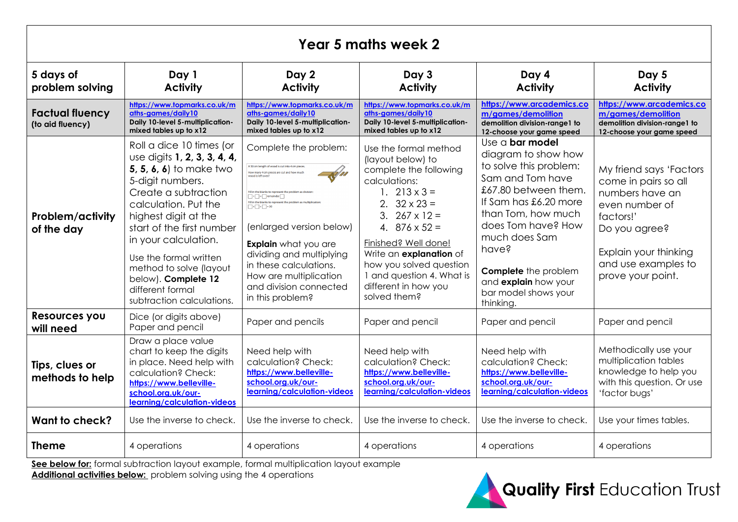| <b>Year 5 maths week 2</b>                               |                                                                                                                                                                                                                                                                                                                                                                          |                                                                                                                                                                                                                                                                                                                                                                                                                                                                                                         |                                                                                                                                                                                                                                                                                                                                        |                                                                                                                                                                                                                                                                                                                |                                                                                                                                                                                         |  |  |  |
|----------------------------------------------------------|--------------------------------------------------------------------------------------------------------------------------------------------------------------------------------------------------------------------------------------------------------------------------------------------------------------------------------------------------------------------------|---------------------------------------------------------------------------------------------------------------------------------------------------------------------------------------------------------------------------------------------------------------------------------------------------------------------------------------------------------------------------------------------------------------------------------------------------------------------------------------------------------|----------------------------------------------------------------------------------------------------------------------------------------------------------------------------------------------------------------------------------------------------------------------------------------------------------------------------------------|----------------------------------------------------------------------------------------------------------------------------------------------------------------------------------------------------------------------------------------------------------------------------------------------------------------|-----------------------------------------------------------------------------------------------------------------------------------------------------------------------------------------|--|--|--|
| 5 days of<br>Day 1<br><b>Activity</b><br>problem solving |                                                                                                                                                                                                                                                                                                                                                                          | Day 2<br><b>Activity</b>                                                                                                                                                                                                                                                                                                                                                                                                                                                                                | Day 3<br><b>Activity</b>                                                                                                                                                                                                                                                                                                               | Day 4<br><b>Activity</b>                                                                                                                                                                                                                                                                                       | Day 5<br><b>Activity</b>                                                                                                                                                                |  |  |  |
| <b>Factual fluency</b><br>(to aid fluency)               | https://www.topmarks.co.uk/m<br>aths-aames/daily10<br>Daily 10-level 5-multiplication-<br>mixed tables up to x12                                                                                                                                                                                                                                                         | https://www.topmarks.co.uk/m<br>aths-aames/daily10<br>Daily 10-level 5-multiplication-<br>mixed tables up to x12                                                                                                                                                                                                                                                                                                                                                                                        | https://www.topmarks.co.uk/m<br>aths-aames/daily10<br>Daily 10-level 5-multiplication-<br>mixed tables up to x12                                                                                                                                                                                                                       | https://www.arcademics.co<br>m/games/demolition<br>demolition division-range1 to<br>12-choose your game speed                                                                                                                                                                                                  | https://www.arcademics.co<br>m/games/demolition<br>demolition division-range1 to<br>12-choose your game speed                                                                           |  |  |  |
| <b>Problem/activity</b><br>of the day                    | Roll a dice 10 times (or<br>use digits 1, 2, 3, 3, 4, 4,<br><b>5, 5, 6, 6)</b> to make two<br>5-digit numbers.<br>Create a subtraction<br>calculation. Put the<br>highest digit at the<br>start of the first number<br>in your calculation.<br>Use the formal written<br>method to solve (layout<br>below). Complete 12<br>different formal<br>subtraction calculations. | Complete the problem:<br>A 50 cm length of wood is cut into 4 cm piece<br>How many 4 cm pieces are cut and h<br>Fill in the blanks to represent the problem as divisi-<br>$\Box$ + $\Box$ = $\Box$ remainder<br>Fill in the blanks to rep<br>sent the problem as multiplicat<br>$\Box \times \Box + \Box = 50$<br>(enlarged version below)<br><b>Explain</b> what you are<br>dividing and multiplying<br>in these calculations.<br>How are multiplication<br>and division connected<br>in this problem? | Use the formal method<br>(layout below) to<br>complete the following<br>calculations:<br>1. $213 \times 3 =$<br>2. $32 \times 23 =$<br>3. $267 \times 12 =$<br>4. $876 \times 52 =$<br>Finished? Well done!<br>Write an explanation of<br>how you solved question<br>1 and question 4. What is<br>different in how you<br>solved them? | Use a <b>bar model</b><br>diagram to show how<br>to solve this problem:<br>Sam and Tom have<br>£67.80 between them.<br>If Sam has £6.20 more<br>than Tom, how much<br>does Tom have? How<br>much does Sam<br>have?<br><b>Complete</b> the problem<br>and explain how your<br>bar model shows your<br>thinking. | My friend says 'Factors<br>come in pairs so all<br>numbers have an<br>even number of<br>factors!'<br>Do you agree?<br>Explain your thinking<br>and use examples to<br>prove your point. |  |  |  |
| Resources you<br>will need                               | Dice (or digits above)<br>Paper and pencil                                                                                                                                                                                                                                                                                                                               | Paper and pencils                                                                                                                                                                                                                                                                                                                                                                                                                                                                                       | Paper and pencil                                                                                                                                                                                                                                                                                                                       | Paper and pencil                                                                                                                                                                                                                                                                                               | Paper and pencil                                                                                                                                                                        |  |  |  |
| Tips, clues or<br>methods to help                        | Draw a place value<br>chart to keep the digits<br>in place. Need help with<br>calculation? Check:<br>https://www.belleville-<br>school.org.uk/our-<br>learning/calculation-videos                                                                                                                                                                                        | Need help with<br>calculation? Check:<br>https://www.belleville-<br>school.org.uk/our-<br>learning/calculation-videos                                                                                                                                                                                                                                                                                                                                                                                   | Need help with<br>calculation? Check:<br>https://www.belleville-<br>school.org.uk/our-<br>learning/calculation-videos                                                                                                                                                                                                                  | Need help with<br>calculation? Check:<br>https://www.belleville-<br>school.org.uk/our-<br>learning/calculation-videos                                                                                                                                                                                          | Methodically use your<br>multiplication tables<br>knowledge to help you<br>with this question. Or use<br>'factor bugs'                                                                  |  |  |  |
| Want to check?                                           | Use the inverse to check.                                                                                                                                                                                                                                                                                                                                                | Use the inverse to check.                                                                                                                                                                                                                                                                                                                                                                                                                                                                               | Use the inverse to check.                                                                                                                                                                                                                                                                                                              | Use the inverse to check.                                                                                                                                                                                                                                                                                      | Use your times tables.                                                                                                                                                                  |  |  |  |
| <b>Theme</b>                                             | 4 operations                                                                                                                                                                                                                                                                                                                                                             | 4 operations                                                                                                                                                                                                                                                                                                                                                                                                                                                                                            | 4 operations                                                                                                                                                                                                                                                                                                                           | 4 operations                                                                                                                                                                                                                                                                                                   | 4 operations                                                                                                                                                                            |  |  |  |

**See below for:** formal subtraction layout example, formal multiplication layout example **Additional activities below:** problem solving using the 4 operations

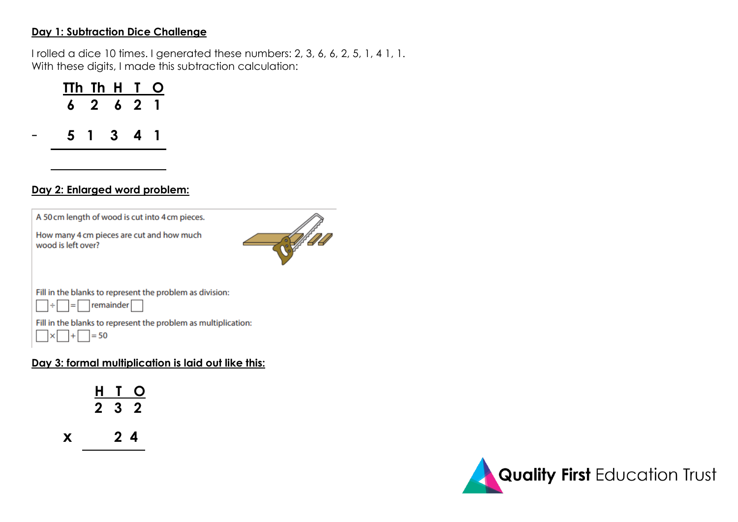## **Day 1: Subtraction Dice Challenge**

I rolled a dice 10 times. I generated these numbers: 2, 3, 6, 6, 2, 5, 1, 4 1, 1. With these digits, I made this subtraction calculation:

| TTh Th H T O |           |  |  |
|--------------|-----------|--|--|
|              | 6 2 6 2 1 |  |  |
|              | 5 1 3 4 1 |  |  |
|              |           |  |  |

## **Day 2: Enlarged word problem:**



## **Day 3: formal multiplication is laid out like this:**

|   |        | H T O |
|---|--------|-------|
|   | 232    |       |
| X | $2\,4$ |       |